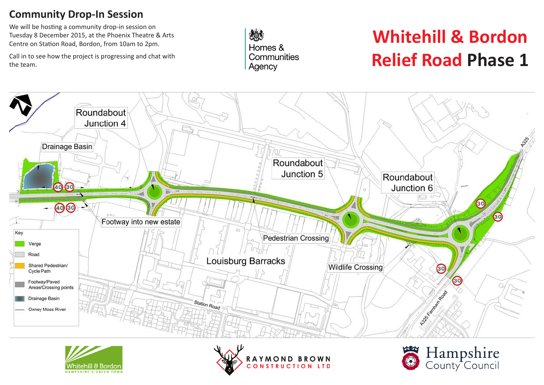#### **Community Drop-In Session**

We will be hosting a community drop-in session on Tuesday 8 December 2015, at the Phoenix Theatre & Arts Centre on Station Road, Bordon, from 10am to 2pm.

Call in to see how the project is progressing and chat with the team.

爆 Homes & Communities Agency

# **Whitehill & Bordon Relief Road Phase 1**